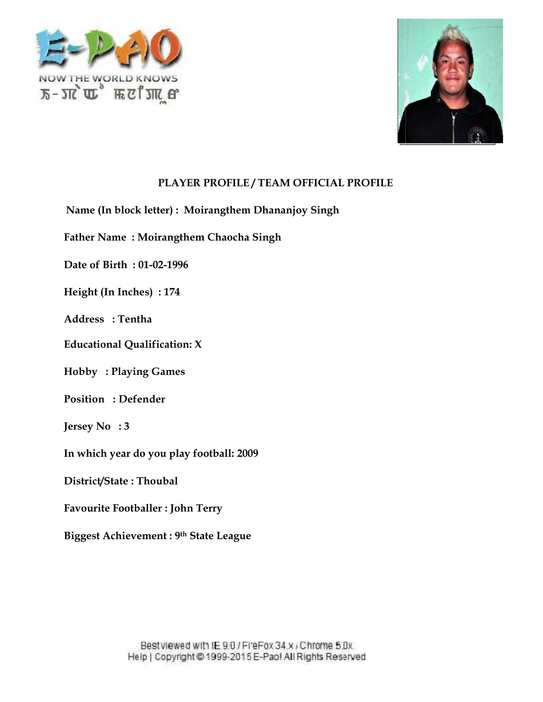



**Name (In block letter) : Moirangthem Dhananjoy Singh**

**Father Name : Moirangthem Chaocha Singh k letter) : Moirangthem Dhan<br>Moirangthem Chaocha Singh<br>01-02-1996** 

**Date of Birth : 01-02-1996**

**Height (In Inches) : 174**

**Address : Tentha**

**Height (In Inches) : 174<br>Address : Tentha<br>Educational Qualification: X** 

**Hobby : Playing Games Hobby : Playing Games<br>Position : Defender** 

**Jersey No : 3**

**In which year do you play football: 2009**

**District/State : Thoubal**

**Favourite Footballer : John Terry**

**Biggest Achievement : 9 th State League**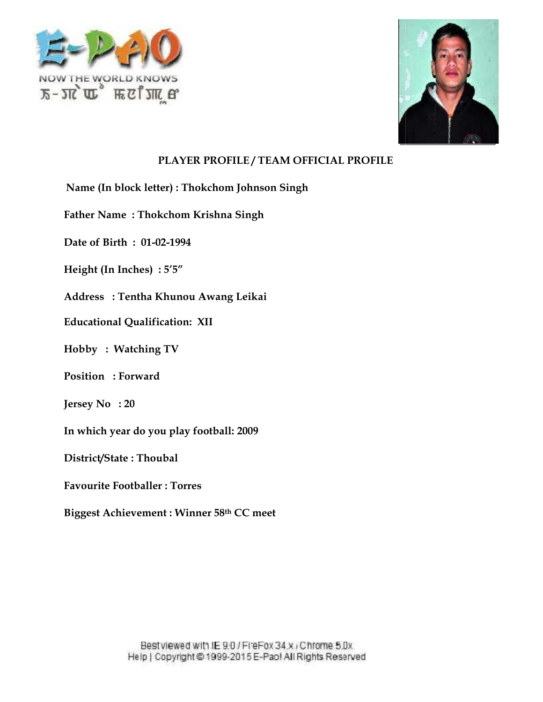



**Name (In block letter) : Thokchom Johnson Singh Thokchom** 

**Father Name : Thokchom Krishna Singh**

**Date of Birth : 01-02-1994**

 $\textbf{Height (In Inches)}:5'5''$ 

**Address : Tentha Khunou Awang Leikai**

**Educational Qualification: XII Qualification:**

**Hobby : Watching TV<br>Position : Forward** 

**Position : Forward**

**Jersey No : 20**

**In which year do you play football: 2009**

**District/State : Thoubal**

**Favourite Footballer : Torres**

 $\mathbf{Big}$  Achievement : Winner 58 $\mathrm{^{th}}$  CC meet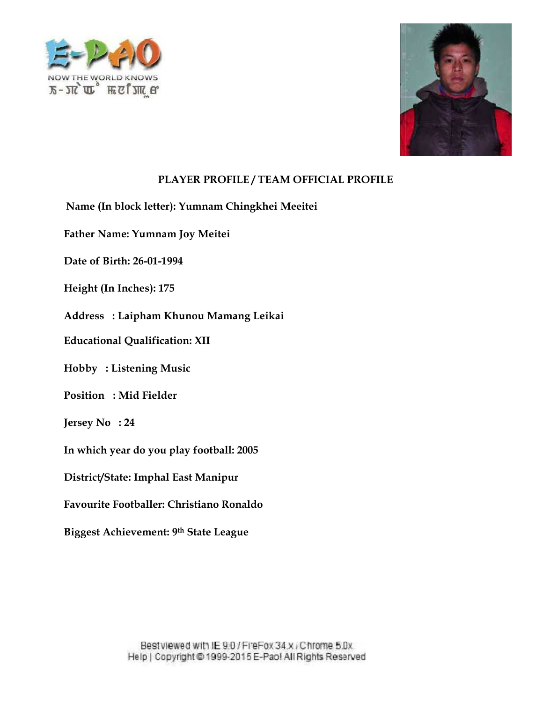



- **Name (In block letter): Yumnam Chingkhei Meeitei<br>Father Name: Yumnam Joy Meitei<br>Date of Birth: 26-01-1994**
- **Father Name: Yumnam Joy Meitei**
- **Date of Birth: 26-01-1994**
- **Height (In Inches): 175**
- **Address : Laipham Khunou Mamang Leikai** (In Inches): 175<br>s : Laipham Khunou Mamang Leikai<br>onal Qualification: XII
- **Educational Qualification: XII**
- **Hobby : Listening Music**
- **Position : Mid Fielder**
- **Jersey No : 24**
- **In which year do you play football: 2005**
- **District/State: Imphal East Manipur**
- **Favourite Footballer: Christiano Ronaldo** Listening Music<br>
: Mid Fielder<br>
: 24<br>
year do you play football: 2005<br>
tate: Imphal East Manipur<br>
Footballer: Christiano Ronaldo
- **Biggest Achievement: 9th State League**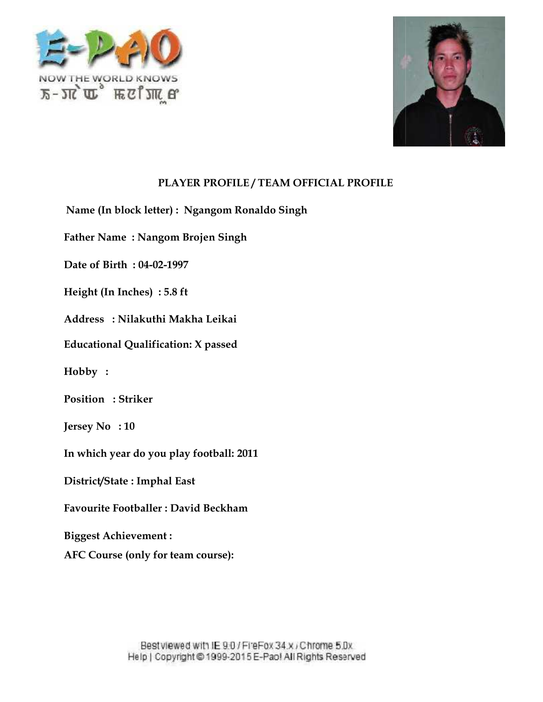



**Name (In block letter) : Ngangom Ronaldo Singh**

**Father Name : Nangom Brojen Singh k letter) : Ngangom<br>Nangom Brojen Sin<br>04-02-1997** 

**Date of Birth : 04-02-1997**

**Height (In Inches) : 5.8 ft**

**Address : Nilakuthi Makha Leikai Height (In Inches) : 5.8 ft<br>Address : Nilakuthi Makha Leikai<br>Educational Qualification: X passed** 

**Hobby :**

**Position : Striker :**

**Jersey No : 10**

**In which year do you play football: 2011**

**District/State : Imphal East**

**Favourite Footballer : David Beckham**

**Biggest Achievement :**

Favourite Footballer : David Beckham<br>Biggest Achievement :<br>AFC Course (only for team course):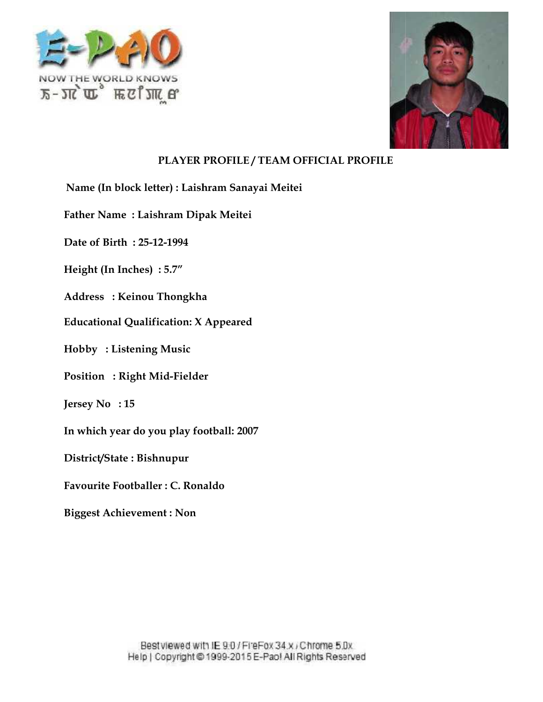



**Name (In block letter) : Laishram Sanayai Meitei**

**Father Name : Laishram Dipak Meitei** c letter) : Laishram<br>Laishram Dipak M<br>25-12-1994

**Date of Birth : 25-12-1994**

**Height (In Inches) : 5.7"**

**Address : Keinou Thongkha**

Height (In Inches) : 5.7″<br>Address : Keinou Thongkha<br>Educational Qualification: X Appeared

**Hobby : Listening Music**

**Position : Right Mid-Fielder Listening :**

**Jersey No : 15**

**In which year do you play football: 2007**

**District/State : Bishnupur**

**Favourite Footballer : C. Ronaldo**

**Biggest Achievement : Non**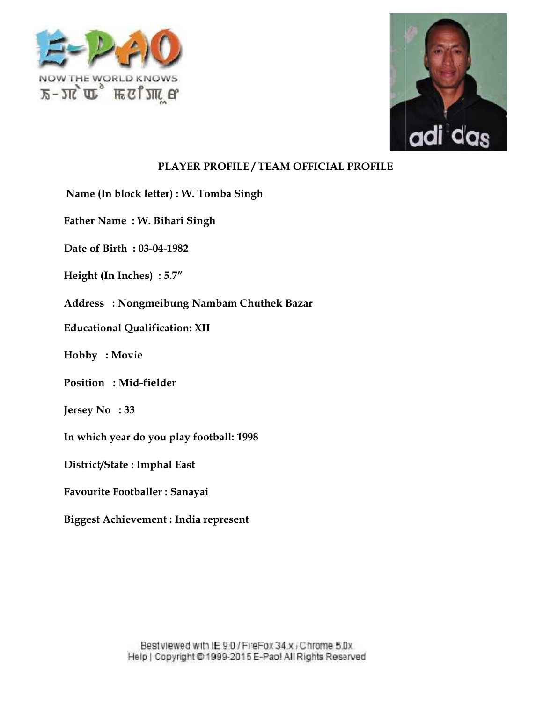



**Name (In block letter) : W. Tomba Singh W. Tomba** 

Father Name : W. Bihari Singh<br>Date of Birth : 03-04-1982

**Date of Birth : 03-04-1982**

**Height (In Inches) : 5.7"**

**Address : Nongmeibung Nambam Chuthek Bazar** (In Inches) : 5.7"<br>s : Nongmeibung Nambam Chuthek<br>onal Qualification: XII **Movie: W. Nambam** 

**Educational Qualification: XII**

**Hobby : Movie**

**Position : Mid-fielder**

**Jersey No : 33**

**In which year do you play football: 1998**

**District/State : Imphal East**

**Favourite Footballer : Sanayai**

**Biggest Achievement : India represent**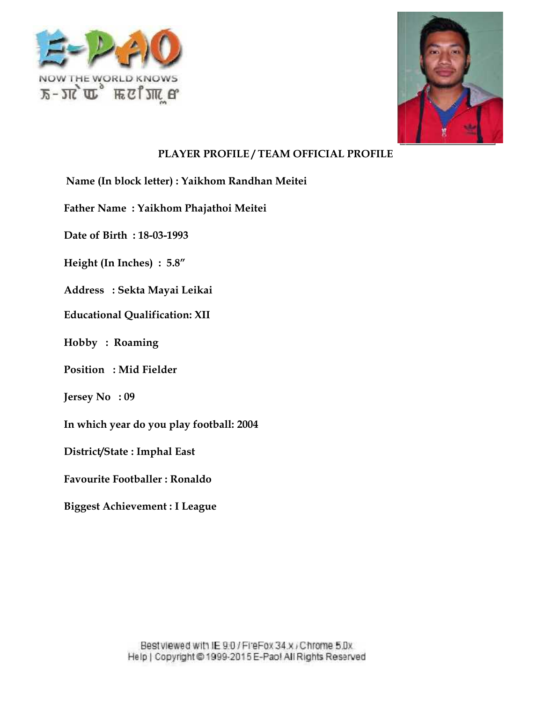



Name (In block letter) : Yaikhom Randhan Meitei<br>Father Name : Yaikhom Phajathoi Meitei<br>Date of Birth : 18-03-1993 **Father Name : Yaikhom Phajathoi Meitei block letter) : Yaikhom<br>me : Yaikhom Phajatho<br>rth : 18-03-1993<br><br>Phandra Leikai<br>Sekta Mayai Leikai<br>al Qualification: XII<br>Roaming<br>XII<br>Mid Fielder** 

**Date of Birth : 18-03-1993**

**Height (In Inches) : 5.8"**

**Address : Sekta Mayai Leikai** (In Inches) : 5.8″<br>s : Sekta Mayai Leikai<br>onal Qualification: XII

**Educational Qualification: XII**

**Hobby : Roaming**

**Position : Mid Fielder**

**Jersey No : 09**

**In which year do you play football: 2004**

**District/State : Imphal East**

**Favourite Footballer : Ronaldo**

**Biggest Achievement : I League**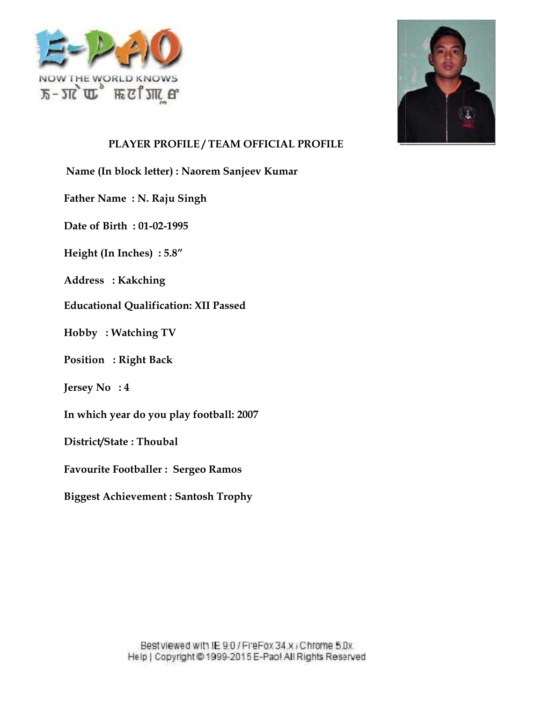



Name (In block letter) : Naorem Sanjeev Kumar<br>Father Name : N. Raju Singh<br>Date of Birth : 01-02-1995

**Father Name : N. Raju Singh**

**Date of Birth : 01-02-1995**

**Height (In Inches) : 5.8"**

**Address : Kakching**

**Height (In Inches) : 5.8″<br>Address : Kakching<br>Educational Qualification: XII Passed Her) : Naorem<br>Raju Singh<br>)2-1995<br>: 5.8″<br>ng<br>ication: XII Pa<br>g TV<br>ack** 

**Hobby : Watching TV<br>Position : Right Back Position : Right Back**

**Jersey No : 4**

**In which year do you play football: 2007**

**District/State : Thoubal**

**Favourite Footballer : Sergeo Ramos**

**Biggest Achievement : Santosh Trophy**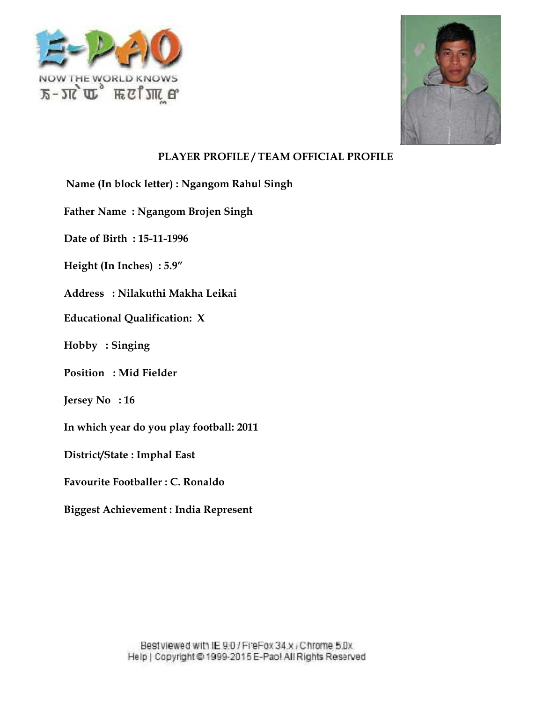



Name (In block letter) : Ngangom Rahul Singh<br>Father Name : Ngangom Brojen Singh<br>Date of Birth : 15-11-1996

**Father Name : Ngangom Brojen Singh**

**Date of Birth : 15-11-1996**

**Height (In Inches) : 5.9"**

**Address : Nilakuthi Makha Leikai** Height (In Inches) : 5.9″<br>Address : Nilakuthi Makha Leikai<br>Educational Qualification: X

**Hobby : Singing**

**Position : Mid Fielder Singing: Fielder**

**Jersey No : 16**

**In which year do you play football: 2011**

**District/State : Imphal East**

**Favourite Footballer : C. Ronaldo**

**Biggest Achievement : India Represent**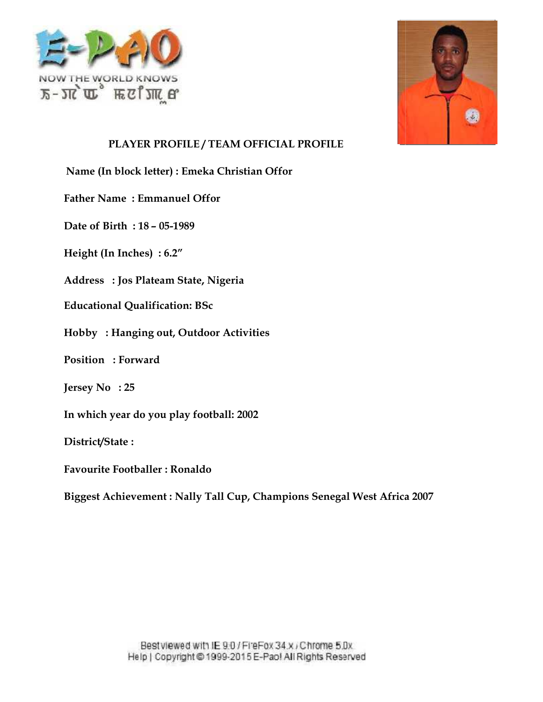



**Name (In block letter) : Emeka Christian Offor**

**Father Name : Emmanuel Offor** In block letter) : Emeka (<br>Vame : Emmanuel Offor<br>Birth : 18 – 05-1989<br>(In Inches) : 6.2"<br>s : Jos Plateam State, Ni<br>onal Qualification: BSc

**Date of Birth : 18 – 05-1989**

**Height (In Inches) : 6.2"**

**Address : Jos Plateam State, Nigeria**

**Educational Qualification: BSc**

**Hobby : Hanging out, Outdoor Activities**

**Position : Forward :**

**Jersey No : 25**

**In which year do you play football: 2002**

**District/State :**

**Favourite Footballer : Ronaldo**

**Biggest Achievement : Nally Tall Cup, Champions Senegal West Africa 2007 Champions Senegal**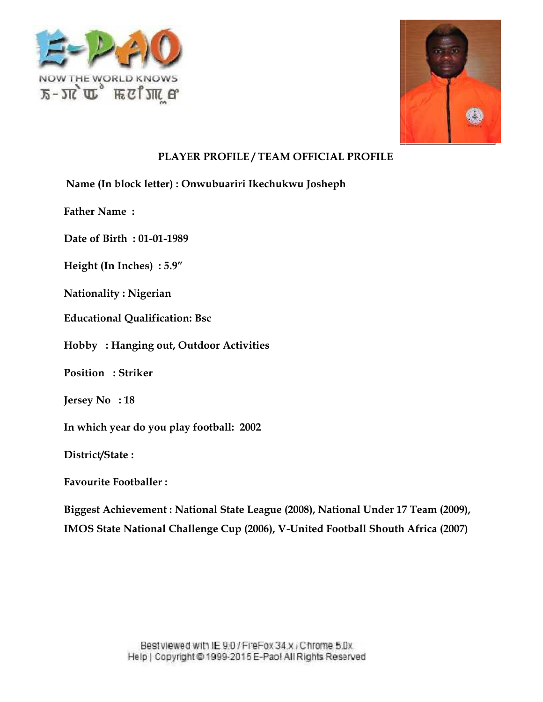



Name (In block letter) : Onwubuariri Ikechukwu Josheph<br>Father Name :<br>Date of Birth : 01-01-1989

**Father Name :**

**Date of Birth : 01-01-1989**

**Height (In Inches) : 5.9"**

**Nationality : Nigerian**

**Height (In Inches) : 5.9″<br>Nationality : Nigerian<br>Educational Qualification: Bsc** 

**Hobby : Hanging out, Outdoor Activities**

**Position : Striker :**

**Jersey No : 18**

**In which year do you play football: 2002**

**District/State :**

**Favourite Footballer :**

**Biggest Achievement : National State League (2008), National Under 17 Team (2009),** Biggest Achievement : National State League (2008), National Under 17 Team (2009),<br>IMOS State National Challenge Cup (2006), V-United Football Shouth Africa (2007)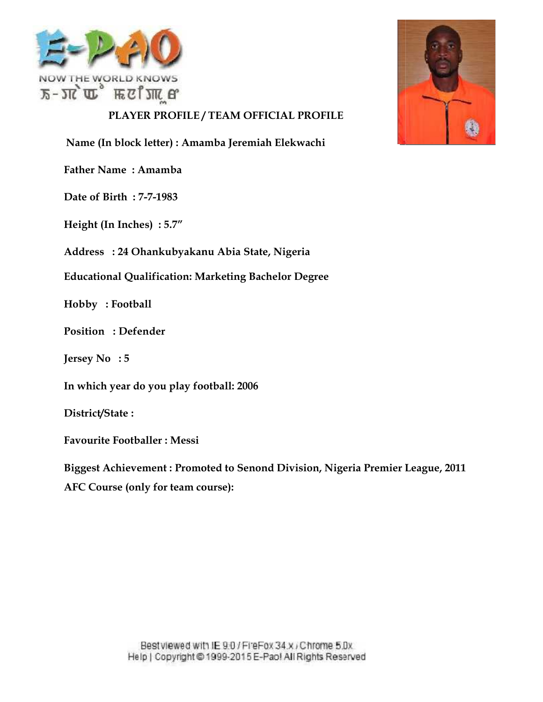



Name (In block letter) : Amamba Jeremiah Elekwachi<br>Father Name : Amamba<br>Date of Birth : 7-7-1983

**Father Name : Amamba**

**Date of Birth : 7-7-1983**

**Height (In Inches) : 5.7"**

**Address : 24 Ohankubyakanu Abia State, Nigeria**

**Educational Qualification: Marketing Bachelor Degree**

**Hobby : Football**

**Position : Defender**

**Jersey No : 5**

**In which year do you play football: 2006**

**District/State :**

**Favourite Footballer : Messi**

**Biggest Achievement : Promoted to Senond Division, Nigeria Premier League, 2011 AFC Course (only for team course):** In block letter) : Amamba Jeremiah Elek<br>Vame : Amamba<br>Birth : 7-7-1983<br>(In Inches) : 5.7"<br>**s** : 24 Ohankubyakanu Abia State, Nigo<br>onal Qualification: Marketing Bachelor<br>: Football<br>1 : Defender<br>Vo : 5<br>h year do you play foo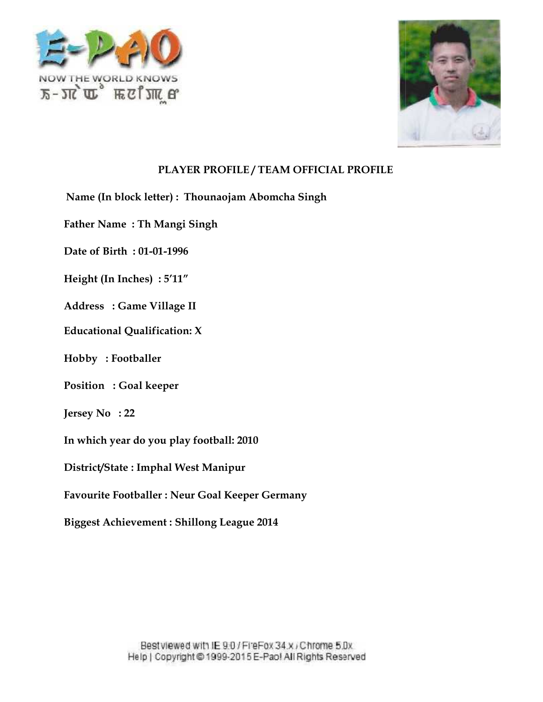



Name (In block letter) : Thounaojam Abomcha Singh<br>Father Name : Th Mangi Singh<br>Date of Birth : 01-01-1996 **Foothballer: Foothballer: Foothballer: Foothballer: Goal keeper: Footballer: Footballer: <b>Coal keeper**<br>|Footballer: **Footballer: Footballer: Footballer: 8.**<br>|Footballer: **Footballer: 8.**<br>

**Father Name : Th Mangi Singh**

**Date of Birth : 01-01-1996**

 $\textbf{Height (In Inches)}:5'11''$ 

**Address : Game Village II**

**Educational Qualification: X Qualification:**

**Hobby : Footballer**

**Position : Goal keeper**

**Jersey No : 22**

**In which year do you play football: 2010**

**District/State : Imphal West Manipur**

**Favourite Footballer : Neur Goal Keeper Germany**

**Biggest Achievement : Shillong League 2014**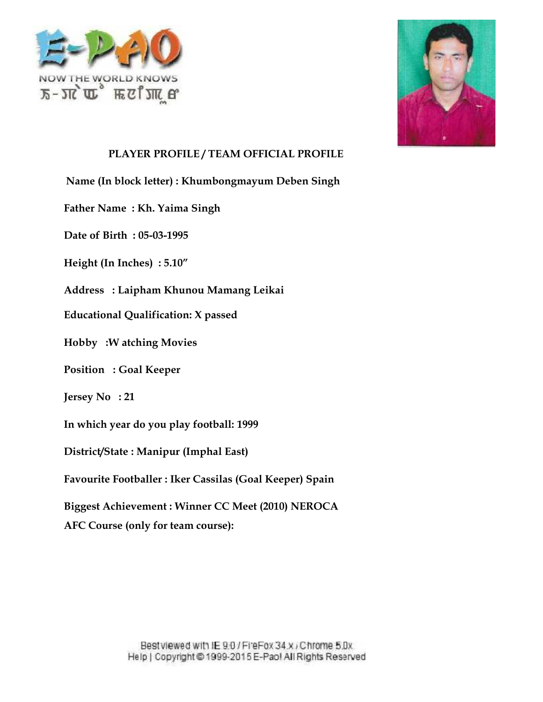



Name (In block letter) : Khumbongmayum Deben Singh<br>Father Name : Kh. Yaima Singh<br>Date of Birth : 05-03-1995

**Father Name : Kh. Yaima Singh**

**Date of Birth : 05-03-1995**

**Height (In Inches) : 5.10"**

**Address : Laipham Khunou Mamang Leikai** (In Inches) : 5.10″<br>s : Laipham Khunou Mamang Leikai<br>onal Qualification: X passed

**Educational Qualification: X passed**

**Hobby :W atching Movies**

**Position : Goal Keeper**

**Jersey No : 21**

**In which year do you play football: 1999**

**District/State : Manipur (Imphal East)**

**Favourite Footballer : Iker Cassilas (Goal Keeper) Spain**

**Biggest Achievement : Winner CC Meet (2010) NEROCA** block letter) : Khumbongmayum<br>me : Kh. Yaima Singh<br>rth : 05-03-1995<br>Inches) : 5.10"<br>: Laipham Khunou Mamang Leik.<br>al Qualification: X passed<br>V atching Movies<br>: Goal Keeper<br>: 21<br>21<br>pear do you play football: 1999<br>ate : Mani

**AFC Course (only for team course):**